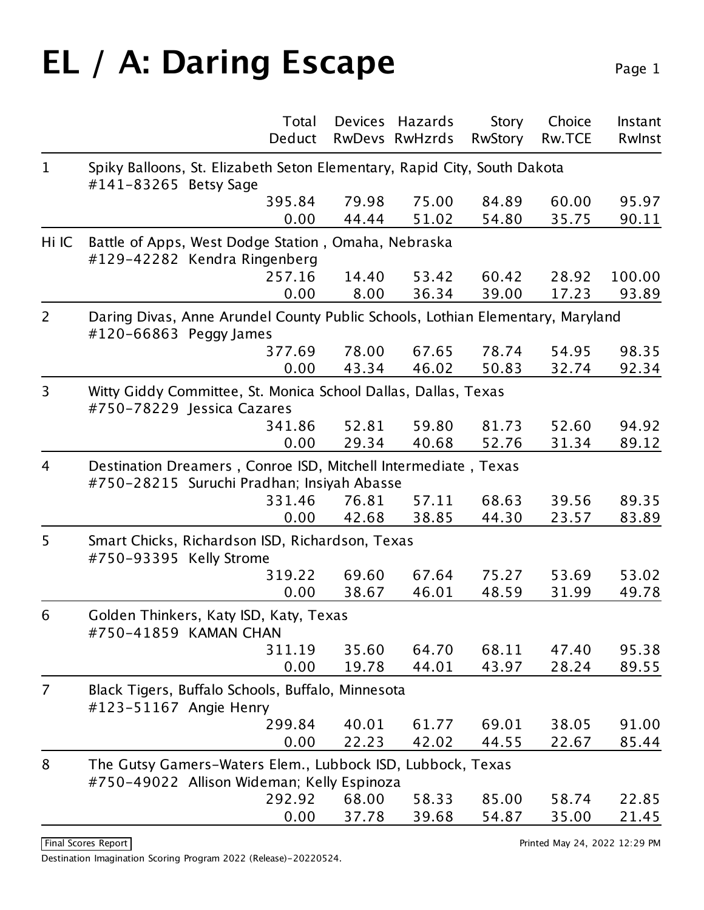## **EL / A: Daring Escape** Page 1

|                | Total                                                                                                        | <b>Devices</b> | Hazards        | <b>Story</b>   | Choice        | Instant |  |
|----------------|--------------------------------------------------------------------------------------------------------------|----------------|----------------|----------------|---------------|---------|--|
|                | Deduct                                                                                                       |                | RwDevs RwHzrds | <b>RwStory</b> | <b>Rw.TCE</b> | Rwlnst  |  |
| $\mathbf{1}$   | Spiky Balloons, St. Elizabeth Seton Elementary, Rapid City, South Dakota<br>#141-83265 Betsy Sage            |                |                |                |               |         |  |
|                | 395.84                                                                                                       | 79.98          | 75.00          | 84.89          | 60.00         | 95.97   |  |
|                | 0.00                                                                                                         | 44.44          | 51.02          | 54.80          | 35.75         | 90.11   |  |
| Hi IC          | Battle of Apps, West Dodge Station, Omaha, Nebraska<br>#129-42282 Kendra Ringenberg                          |                |                |                |               |         |  |
|                | 257.16                                                                                                       | 14.40          | 53.42          | 60.42          | 28.92         | 100.00  |  |
|                | 0.00                                                                                                         | 8.00           | 36.34          | 39.00          | 17.23         | 93.89   |  |
| $\overline{2}$ | Daring Divas, Anne Arundel County Public Schools, Lothian Elementary, Maryland<br>#120-66863 Peggy James     |                |                |                |               |         |  |
|                | 377.69                                                                                                       | 78.00          | 67.65          | 78.74          | 54.95         | 98.35   |  |
|                | 0.00                                                                                                         | 43.34          | 46.02          | 50.83          | 32.74         | 92.34   |  |
| 3              | Witty Giddy Committee, St. Monica School Dallas, Dallas, Texas<br>#750-78229 Jessica Cazares                 |                |                |                |               |         |  |
|                | 341.86                                                                                                       | 52.81          | 59.80          | 81.73          | 52.60         | 94.92   |  |
|                | 0.00                                                                                                         | 29.34          | 40.68          | 52.76          | 31.34         | 89.12   |  |
| $\overline{4}$ | Destination Dreamers, Conroe ISD, Mitchell Intermediate, Texas<br>#750-28215 Suruchi Pradhan; Insiyah Abasse |                |                |                |               |         |  |
|                | 331.46                                                                                                       | 76.81          | 57.11          | 68.63          | 39.56         | 89.35   |  |
|                | 0.00                                                                                                         | 42.68          | 38.85          | 44.30          | 23.57         | 83.89   |  |
| 5              | Smart Chicks, Richardson ISD, Richardson, Texas<br>#750-93395 Kelly Strome                                   |                |                |                |               |         |  |
|                | 319.22                                                                                                       | 69.60          | 67.64          | 75.27          | 53.69         | 53.02   |  |
|                | 0.00                                                                                                         | 38.67          | 46.01          | 48.59          | 31.99         | 49.78   |  |
| 6              | Golden Thinkers, Katy ISD, Katy, Texas<br>#750-41859 KAMAN CHAN                                              |                |                |                |               |         |  |
|                | 311.19                                                                                                       | 35.60          | 64.70          | 68.11          | 47.40         | 95.38   |  |
|                | 0.00                                                                                                         | 19.78          | 44.01          | 43.97          | 28.24         | 89.55   |  |
| $\overline{7}$ | Black Tigers, Buffalo Schools, Buffalo, Minnesota<br>#123-51167 Angie Henry                                  |                |                |                |               |         |  |
|                | 299.84                                                                                                       | 40.01          | 61.77          | 69.01          | 38.05         | 91.00   |  |
|                | 0.00                                                                                                         | 22.23          | 42.02          | 44.55          | 22.67         | 85.44   |  |
| 8              | The Gutsy Gamers-Waters Elem., Lubbock ISD, Lubbock, Texas<br>#750-49022 Allison Wideman; Kelly Espinoza     |                |                |                |               |         |  |
|                | 292.92                                                                                                       | 68.00          | 58.33          | 85.00          | 58.74         | 22.85   |  |
|                | 0.00                                                                                                         | 37.78          | 39.68          | 54.87          | 35.00         | 21.45   |  |

Final Scores Report **Printed May 24, 2022 12:29 PM**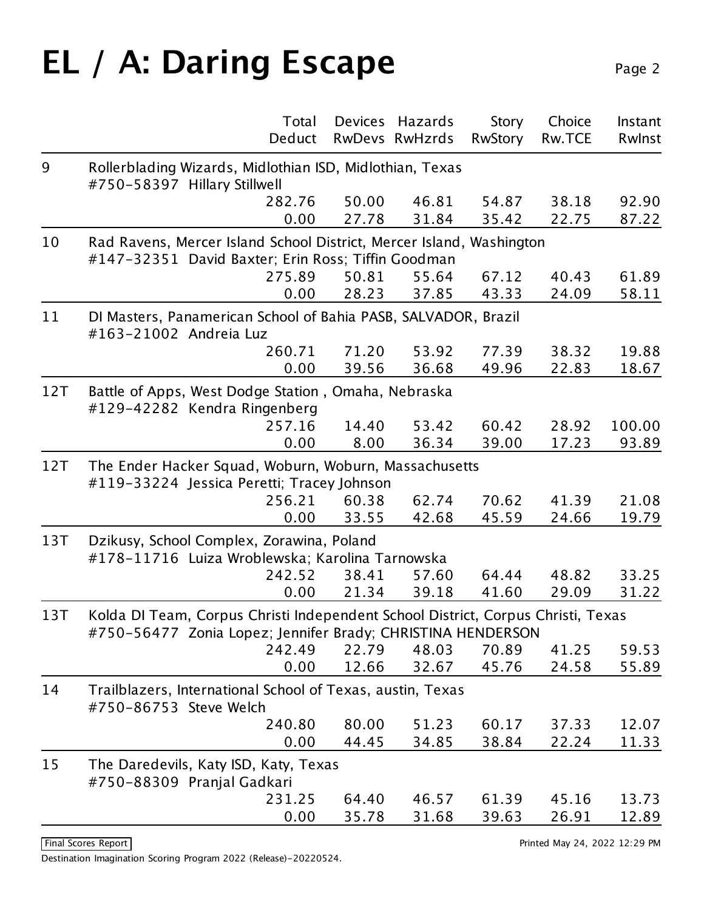# **EL / A: Daring Escape** Page 2

|     | Total<br>Deduct                                                                                                                                 | <b>Devices</b> | Hazards<br>RwDevs RwHzrds | <b>Story</b><br><b>RwStory</b> | Choice<br><b>Rw.TCE</b> | Instant<br>Rwinst |  |  |  |
|-----|-------------------------------------------------------------------------------------------------------------------------------------------------|----------------|---------------------------|--------------------------------|-------------------------|-------------------|--|--|--|
| 9   | Rollerblading Wizards, Midlothian ISD, Midlothian, Texas                                                                                        |                |                           |                                |                         |                   |  |  |  |
|     | #750-58397 Hillary Stillwell                                                                                                                    |                |                           |                                |                         |                   |  |  |  |
|     | 282.76                                                                                                                                          | 50.00          | 46.81                     | 54.87                          | 38.18                   | 92.90             |  |  |  |
|     | 0.00                                                                                                                                            | 27.78          | 31.84                     | 35.42                          | 22.75                   | 87.22             |  |  |  |
| 10  | Rad Ravens, Mercer Island School District, Mercer Island, Washington                                                                            |                |                           |                                |                         |                   |  |  |  |
|     | #147-32351 David Baxter; Erin Ross; Tiffin Goodman<br>275.89                                                                                    | 50.81          | 55.64                     | 67.12                          | 40.43                   | 61.89             |  |  |  |
|     | 0.00                                                                                                                                            | 28.23          | 37.85                     | 43.33                          | 24.09                   | 58.11             |  |  |  |
|     |                                                                                                                                                 |                |                           |                                |                         |                   |  |  |  |
| 11  | DI Masters, Panamerican School of Bahia PASB, SALVADOR, Brazil<br>#163-21002 Andreia Luz                                                        |                |                           |                                |                         |                   |  |  |  |
|     | 260.71                                                                                                                                          | 71.20          | 53.92                     | 77.39                          | 38.32                   | 19.88             |  |  |  |
|     | 0.00                                                                                                                                            | 39.56          | 36.68                     | 49.96                          | 22.83                   | 18.67             |  |  |  |
| 12T | Battle of Apps, West Dodge Station, Omaha, Nebraska                                                                                             |                |                           |                                |                         |                   |  |  |  |
|     | #129-42282 Kendra Ringenberg                                                                                                                    |                |                           |                                |                         |                   |  |  |  |
|     | 257.16                                                                                                                                          | 14.40          | 53.42                     | 60.42                          | 28.92                   | 100.00            |  |  |  |
|     | 0.00                                                                                                                                            | 8.00           | 36.34                     | 39.00                          | 17.23                   | 93.89             |  |  |  |
| 12T | The Ender Hacker Squad, Woburn, Woburn, Massachusetts                                                                                           |                |                           |                                |                         |                   |  |  |  |
|     | #119-33224 Jessica Peretti; Tracey Johnson                                                                                                      |                |                           |                                |                         |                   |  |  |  |
|     | 256.21<br>0.00                                                                                                                                  | 60.38<br>33.55 | 62.74<br>42.68            | 70.62<br>45.59                 | 41.39<br>24.66          | 21.08<br>19.79    |  |  |  |
|     |                                                                                                                                                 |                |                           |                                |                         |                   |  |  |  |
| 13T | Dzikusy, School Complex, Zorawina, Poland<br>#178-11716 Luiza Wroblewska; Karolina Tarnowska                                                    |                |                           |                                |                         |                   |  |  |  |
|     | 242.52                                                                                                                                          | 38.41          | 57.60                     | 64.44                          | 48.82                   | 33.25             |  |  |  |
|     | 0.00                                                                                                                                            | 21.34          | 39.18                     | 41.60                          | 29.09                   | 31.22             |  |  |  |
| 13T |                                                                                                                                                 |                |                           |                                |                         |                   |  |  |  |
|     | Kolda DI Team, Corpus Christi Independent School District, Corpus Christi, Texas<br>#750-56477 Zonia Lopez; Jennifer Brady; CHRISTINA HENDERSON |                |                           |                                |                         |                   |  |  |  |
|     | 242.49                                                                                                                                          | 22.79          | 48.03                     | 70.89                          | 41.25                   | 59.53             |  |  |  |
|     | 0.00                                                                                                                                            | 12.66          | 32.67                     | 45.76                          | 24.58                   | 55.89             |  |  |  |
| 14  | Trailblazers, International School of Texas, austin, Texas                                                                                      |                |                           |                                |                         |                   |  |  |  |
|     | #750-86753 Steve Welch                                                                                                                          |                |                           |                                |                         |                   |  |  |  |
|     | 240.80                                                                                                                                          | 80.00          | 51.23                     | 60.17                          | 37.33                   | 12.07             |  |  |  |
|     | 0.00                                                                                                                                            | 44.45          | 34.85                     | 38.84                          | 22.24                   | 11.33             |  |  |  |
| 15  | The Daredevils, Katy ISD, Katy, Texas                                                                                                           |                |                           |                                |                         |                   |  |  |  |
|     | #750-88309 Pranjal Gadkari                                                                                                                      |                |                           |                                |                         |                   |  |  |  |
|     | 231.25                                                                                                                                          | 64.40          | 46.57                     | 61.39                          | 45.16                   | 13.73             |  |  |  |
|     | 0.00                                                                                                                                            | 35.78          | 31.68                     | 39.63                          | 26.91                   | 12.89             |  |  |  |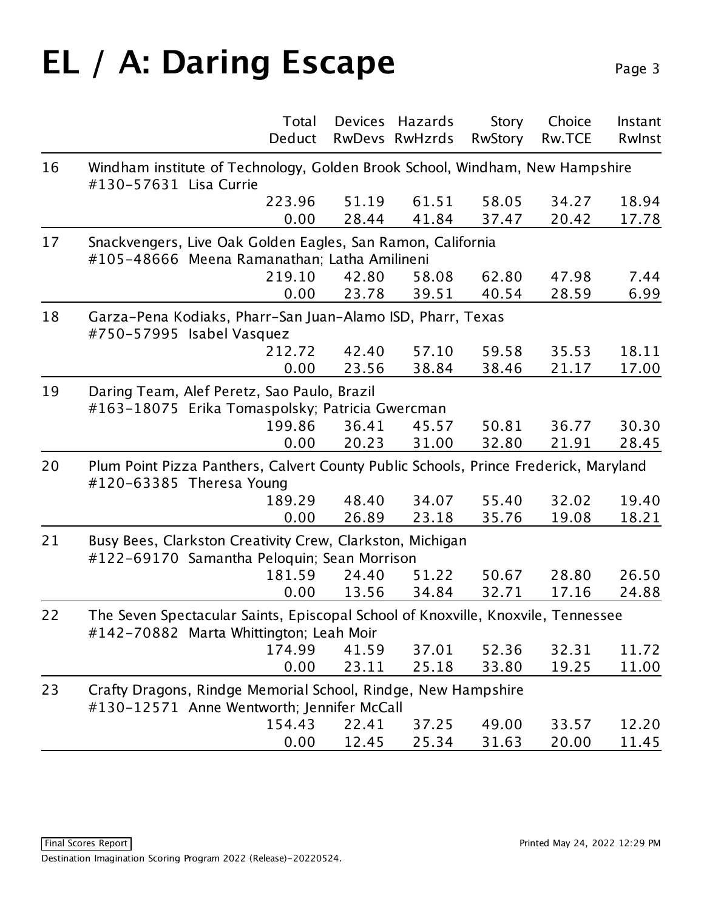### EL / A: Daring Escape Page 3

|    | Total<br>Deduct                                                                                                             | Devices        | Hazards<br>RwDevs RwHzrds | Story<br><b>RwStory</b> | Choice<br><b>Rw.TCE</b> | Instant<br>Rwinst |  |
|----|-----------------------------------------------------------------------------------------------------------------------------|----------------|---------------------------|-------------------------|-------------------------|-------------------|--|
| 16 | Windham institute of Technology, Golden Brook School, Windham, New Hampshire<br>#130-57631 Lisa Currie                      |                |                           |                         |                         |                   |  |
|    | 223.96<br>0.00                                                                                                              | 51.19<br>28.44 | 61.51<br>41.84            | 58.05<br>37.47          | 34.27<br>20.42          | 18.94<br>17.78    |  |
| 17 | Snackvengers, Live Oak Golden Eagles, San Ramon, California<br>#105-48666 Meena Ramanathan; Latha Amilineni                 |                |                           |                         |                         |                   |  |
|    | 219.10<br>0.00                                                                                                              | 42.80<br>23.78 | 58.08<br>39.51            | 62.80<br>40.54          | 47.98<br>28.59          | 7.44<br>6.99      |  |
| 18 | Garza-Pena Kodiaks, Pharr-San Juan-Alamo ISD, Pharr, Texas<br>#750-57995 Isabel Vasquez                                     |                |                           |                         |                         |                   |  |
|    | 212.72<br>0.00                                                                                                              | 42.40<br>23.56 | 57.10<br>38.84            | 59.58<br>38.46          | 35.53<br>21.17          | 18.11<br>17.00    |  |
| 19 | Daring Team, Alef Peretz, Sao Paulo, Brazil<br>#163-18075 Erika Tomaspolsky; Patricia Gwercman                              |                |                           |                         |                         |                   |  |
|    | 199.86<br>0.00                                                                                                              | 36.41<br>20.23 | 45.57<br>31.00            | 50.81<br>32.80          | 36.77<br>21.91          | 30.30<br>28.45    |  |
| 20 | Plum Point Pizza Panthers, Calvert County Public Schools, Prince Frederick, Maryland<br>#120-63385 Theresa Young            |                |                           |                         |                         |                   |  |
|    | 189.29<br>0.00                                                                                                              | 48.40<br>26.89 | 34.07<br>23.18            | 55.40<br>35.76          | 32.02<br>19.08          | 19.40<br>18.21    |  |
| 21 | Busy Bees, Clarkston Creativity Crew, Clarkston, Michigan<br>#122-69170 Samantha Peloquin; Sean Morrison                    |                |                           |                         |                         |                   |  |
|    | 181.59<br>0.00                                                                                                              | 24.40<br>13.56 | 51.22<br>34.84            | 50.67<br>32.71          | 28.80<br>17.16          | 26.50<br>24.88    |  |
| 22 | The Seven Spectacular Saints, Episcopal School of Knoxville, Knoxvile, Tennessee<br>#142-70882 Marta Whittington; Leah Moir |                |                           |                         |                         |                   |  |
|    | 174.99<br>0.00                                                                                                              | 41.59<br>23.11 | 37.01<br>25.18            | 52.36<br>33.80          | 32.31<br>19.25          | 11.72<br>11.00    |  |
| 23 | Crafty Dragons, Rindge Memorial School, Rindge, New Hampshire<br>#130-12571 Anne Wentworth; Jennifer McCall                 |                |                           |                         |                         |                   |  |
|    | 154.43<br>0.00                                                                                                              | 22.41<br>12.45 | 37.25<br>25.34            | 49.00<br>31.63          | 33.57<br>20.00          | 12.20<br>11.45    |  |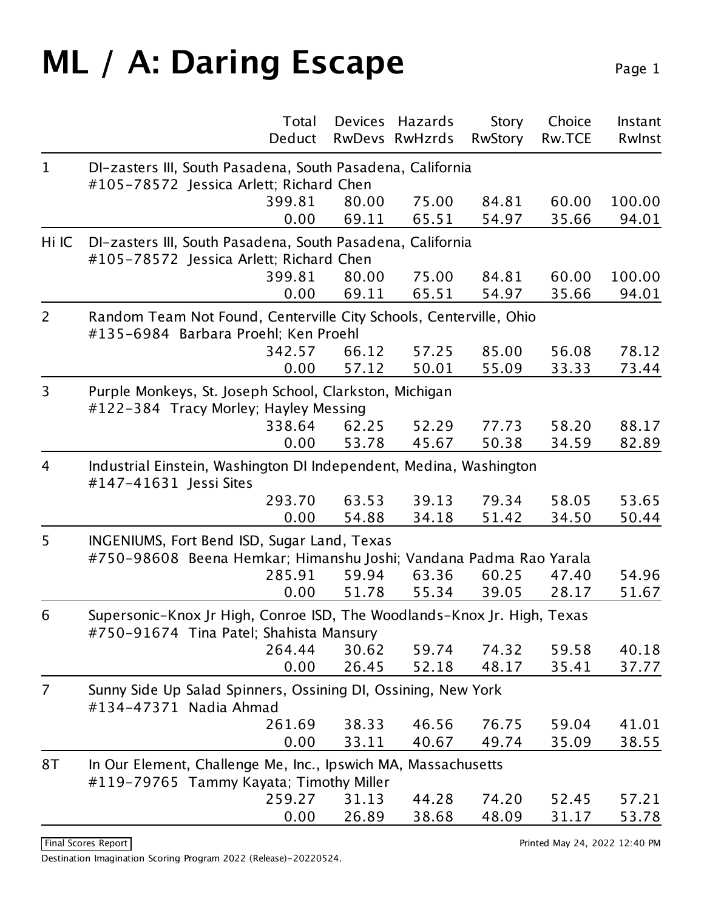### **ML / A: Daring Escape** Page 1

|                | Deduct                                                                                                             | Total | <b>Devices</b> | Hazards<br>RwDevs RwHzrds | Story<br><b>RwStory</b> | Choice<br>Rw.TCE | Instant<br>Rwinst |  |  |
|----------------|--------------------------------------------------------------------------------------------------------------------|-------|----------------|---------------------------|-------------------------|------------------|-------------------|--|--|
| $\mathbf{1}$   | DI-zasters III, South Pasadena, South Pasadena, California                                                         |       |                |                           |                         |                  |                   |  |  |
|                | #105-78572 Jessica Arlett; Richard Chen                                                                            |       |                |                           |                         |                  |                   |  |  |
|                | 399.81                                                                                                             |       | 80.00          | 75.00                     | 84.81                   | 60.00            | 100.00            |  |  |
|                |                                                                                                                    | 0.00  | 69.11          | 65.51                     | 54.97                   | 35.66            | 94.01             |  |  |
| Hi IC          | DI-zasters III, South Pasadena, South Pasadena, California<br>#105-78572 Jessica Arlett; Richard Chen              |       |                |                           |                         |                  |                   |  |  |
|                | 399.81                                                                                                             |       | 80.00          | 75.00                     | 84.81                   | 60.00            | 100.00            |  |  |
|                |                                                                                                                    | 0.00  | 69.11          | 65.51                     | 54.97                   | 35.66            | 94.01             |  |  |
| 2              | Random Team Not Found, Centerville City Schools, Centerville, Ohio<br>#135-6984 Barbara Proehl; Ken Proehl         |       |                |                           |                         |                  |                   |  |  |
|                | 342.57                                                                                                             |       | 66.12          | 57.25                     | 85.00                   | 56.08            | 78.12             |  |  |
|                |                                                                                                                    | 0.00  | 57.12          | 50.01                     | 55.09                   | 33.33            | 73.44             |  |  |
| 3              | Purple Monkeys, St. Joseph School, Clarkston, Michigan<br>#122-384 Tracy Morley; Hayley Messing                    |       |                |                           |                         |                  |                   |  |  |
|                | 338.64                                                                                                             |       | 62.25          | 52.29                     | 77.73                   | 58.20            | 88.17             |  |  |
|                | 0.00                                                                                                               |       | 53.78          | 45.67                     | 50.38                   | 34.59            | 82.89             |  |  |
| $\overline{4}$ | Industrial Einstein, Washington DI Independent, Medina, Washington<br>#147-41631 Jessi Sites                       |       |                |                           |                         |                  |                   |  |  |
|                | 293.70                                                                                                             |       | 63.53          | 39.13                     | 79.34                   | 58.05            | 53.65             |  |  |
|                |                                                                                                                    | 0.00  | 54.88          | 34.18                     | 51.42                   | 34.50            | 50.44             |  |  |
| 5              | INGENIUMS, Fort Bend ISD, Sugar Land, Texas<br>#750-98608 Beena Hemkar; Himanshu Joshi; Vandana Padma Rao Yarala   |       |                |                           |                         |                  |                   |  |  |
|                | 285.91                                                                                                             |       | 59.94          | 63.36                     | 60.25                   | 47.40            | 54.96             |  |  |
|                |                                                                                                                    | 0.00  | 51.78          | 55.34                     | 39.05                   | 28.17            | 51.67             |  |  |
| 6              | Supersonic-Knox Jr High, Conroe ISD, The Woodlands-Knox Jr. High, Texas<br>#750-91674 Tina Patel; Shahista Mansury |       |                |                           |                         |                  |                   |  |  |
|                | 264.44                                                                                                             |       | 30.62          | 59.74                     | 74.32                   | 59.58            | 40.18             |  |  |
|                |                                                                                                                    | 0.00  | 26.45          | 52.18                     | 48.17                   | 35.41            | 37.77             |  |  |
| $\overline{7}$ | Sunny Side Up Salad Spinners, Ossining DI, Ossining, New York<br>#134-47371 Nadia Ahmad                            |       |                |                           |                         |                  |                   |  |  |
|                | 261.69                                                                                                             |       | 38.33          | 46.56                     | 76.75                   | 59.04            | 41.01             |  |  |
|                |                                                                                                                    | 0.00  | 33.11          | 40.67                     | 49.74                   | 35.09            | 38.55             |  |  |
| 8T             | In Our Element, Challenge Me, Inc., Ipswich MA, Massachusetts<br>#119-79765 Tammy Kayata; Timothy Miller           |       |                |                           |                         |                  |                   |  |  |
|                | 259.27                                                                                                             |       | 31.13          | 44.28                     | 74.20                   | 52.45            | 57.21             |  |  |
|                |                                                                                                                    | 0.00  | 26.89          | 38.68                     | 48.09                   | 31.17            | 53.78             |  |  |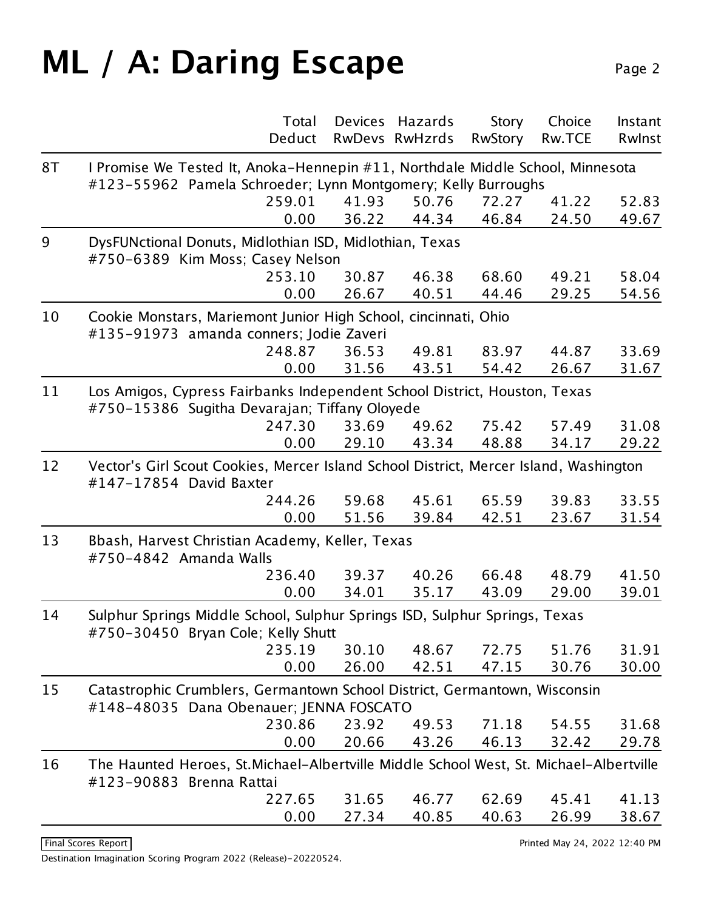### **ML / A: Daring Escape** Page 2

|    | Total                                                                                                                                           | Devices | Hazards        | Story          | Choice        | Instant |  |  |
|----|-------------------------------------------------------------------------------------------------------------------------------------------------|---------|----------------|----------------|---------------|---------|--|--|
|    | Deduct                                                                                                                                          |         | RwDevs RwHzrds | <b>RwStory</b> | <b>Rw.TCE</b> | Rwlnst  |  |  |
| 8T | I Promise We Tested It, Anoka-Hennepin #11, Northdale Middle School, Minnesota<br>#123-55962 Pamela Schroeder; Lynn Montgomery; Kelly Burroughs |         |                |                |               |         |  |  |
|    | 259.01                                                                                                                                          | 41.93   | 50.76          | 72.27          | 41.22         | 52.83   |  |  |
|    | 0.00                                                                                                                                            | 36.22   | 44.34          | 46.84          | 24.50         | 49.67   |  |  |
| 9  | DysFUNctional Donuts, Midlothian ISD, Midlothian, Texas<br>#750-6389 Kim Moss; Casey Nelson                                                     |         |                |                |               |         |  |  |
|    | 253.10                                                                                                                                          | 30.87   | 46.38          | 68.60          | 49.21         | 58.04   |  |  |
|    | 0.00                                                                                                                                            | 26.67   | 40.51          | 44.46          | 29.25         | 54.56   |  |  |
| 10 | Cookie Monstars, Mariemont Junior High School, cincinnati, Ohio<br>#135-91973 amanda conners; Jodie Zaveri                                      |         |                |                |               |         |  |  |
|    | 248.87                                                                                                                                          | 36.53   | 49.81          | 83.97          | 44.87         | 33.69   |  |  |
|    | 0.00                                                                                                                                            | 31.56   | 43.51          | 54.42          | 26.67         | 31.67   |  |  |
| 11 | Los Amigos, Cypress Fairbanks Independent School District, Houston, Texas<br>#750-15386 Sugitha Devarajan; Tiffany Oloyede                      |         |                |                |               |         |  |  |
|    | 247.30                                                                                                                                          | 33.69   | 49.62          | 75.42          | 57.49         | 31.08   |  |  |
|    | 0.00                                                                                                                                            | 29.10   | 43.34          | 48.88          | 34.17         | 29.22   |  |  |
| 12 | Vector's Girl Scout Cookies, Mercer Island School District, Mercer Island, Washington<br>#147-17854 David Baxter                                |         |                |                |               |         |  |  |
|    | 244.26                                                                                                                                          | 59.68   | 45.61          | 65.59          | 39.83         | 33.55   |  |  |
|    | 0.00                                                                                                                                            | 51.56   | 39.84          | 42.51          | 23.67         | 31.54   |  |  |
| 13 | Bbash, Harvest Christian Academy, Keller, Texas<br>#750-4842 Amanda Walls                                                                       |         |                |                |               |         |  |  |
|    | 236.40                                                                                                                                          | 39.37   | 40.26          | 66.48          | 48.79         | 41.50   |  |  |
|    | 0.00                                                                                                                                            | 34.01   | 35.17          | 43.09          | 29.00         | 39.01   |  |  |
| 14 | Sulphur Springs Middle School, Sulphur Springs ISD, Sulphur Springs, Texas<br>#750-30450 Bryan Cole; Kelly Shutt                                |         |                |                |               |         |  |  |
|    | 235.19                                                                                                                                          | 30.10   | 48.67          | 72.75          | 51.76         | 31.91   |  |  |
|    | 0.00                                                                                                                                            | 26.00   | 42.51          | 47.15          | 30.76         | 30.00   |  |  |
| 15 | Catastrophic Crumblers, Germantown School District, Germantown, Wisconsin<br>#148-48035 Dana Obenauer; JENNA FOSCATO                            |         |                |                |               |         |  |  |
|    | 230.86                                                                                                                                          | 23.92   | 49.53          | 71.18          | 54.55         | 31.68   |  |  |
|    | 0.00                                                                                                                                            | 20.66   | 43.26          | 46.13          | 32.42         | 29.78   |  |  |
| 16 | The Haunted Heroes, St.Michael-Albertville Middle School West, St. Michael-Albertville<br>#123-90883 Brenna Rattai                              |         |                |                |               |         |  |  |
|    | 227.65                                                                                                                                          | 31.65   | 46.77          | 62.69          | 45.41         | 41.13   |  |  |
|    | 0.00                                                                                                                                            | 27.34   | 40.85          | 40.63          | 26.99         | 38.67   |  |  |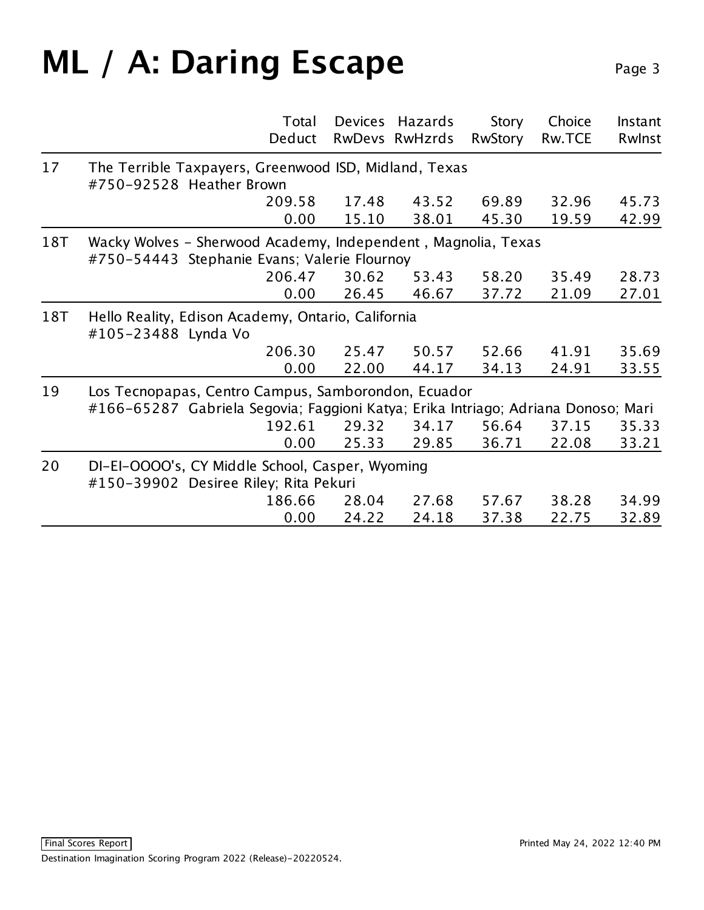### **ML / A: Daring Escape** Page 3

|     | Total<br>Deduct                                                                                                                          | Devices        | Hazards<br>RwDevs RwHzrds | Story<br><b>RwStory</b> | Choice<br><b>Rw.TCE</b> | Instant<br>Rwlnst |  |  |
|-----|------------------------------------------------------------------------------------------------------------------------------------------|----------------|---------------------------|-------------------------|-------------------------|-------------------|--|--|
| 17  | The Terrible Taxpayers, Greenwood ISD, Midland, Texas<br>#750-92528 Heather Brown                                                        |                |                           |                         |                         |                   |  |  |
|     | 209.58<br>0.00                                                                                                                           | 17.48<br>15.10 | 43.52<br>38.01            | 69.89<br>45.30          | 32.96<br>19.59          | 45.73<br>42.99    |  |  |
| 18T | Wacky Wolves - Sherwood Academy, Independent, Magnolia, Texas<br>#750-54443 Stephanie Evans; Valerie Flournoy                            |                |                           |                         |                         |                   |  |  |
|     | 206.47<br>0.00                                                                                                                           | 30.62<br>26.45 | 53.43<br>46.67            | 58.20<br>37.72          | 35.49<br>21.09          | 28.73<br>27.01    |  |  |
| 18T | Hello Reality, Edison Academy, Ontario, California<br>#105-23488 Lynda Vo                                                                |                |                           |                         |                         |                   |  |  |
|     | 206.30<br>0.00                                                                                                                           | 25.47<br>22.00 | 50.57<br>44.17            | 52.66<br>34.13          | 41.91<br>24.91          | 35.69<br>33.55    |  |  |
| 19  | Los Tecnopapas, Centro Campus, Samborondon, Ecuador<br>#166-65287 Gabriela Segovia; Faggioni Katya; Erika Intriago; Adriana Donoso; Mari |                |                           |                         |                         |                   |  |  |
|     | 192.61<br>0.00                                                                                                                           | 29.32<br>25.33 | 34.17<br>29.85            | 56.64<br>36.71          | 37.15<br>22.08          | 35.33<br>33.21    |  |  |
| 20  | DI-EI-OOOO's, CY Middle School, Casper, Wyoming<br>#150-39902 Desiree Riley; Rita Pekuri                                                 |                |                           |                         |                         |                   |  |  |
|     | 186.66<br>0.00                                                                                                                           | 28.04<br>24.22 | 27.68<br>24.18            | 57.67<br>37.38          | 38.28<br>22.75          | 34.99<br>32.89    |  |  |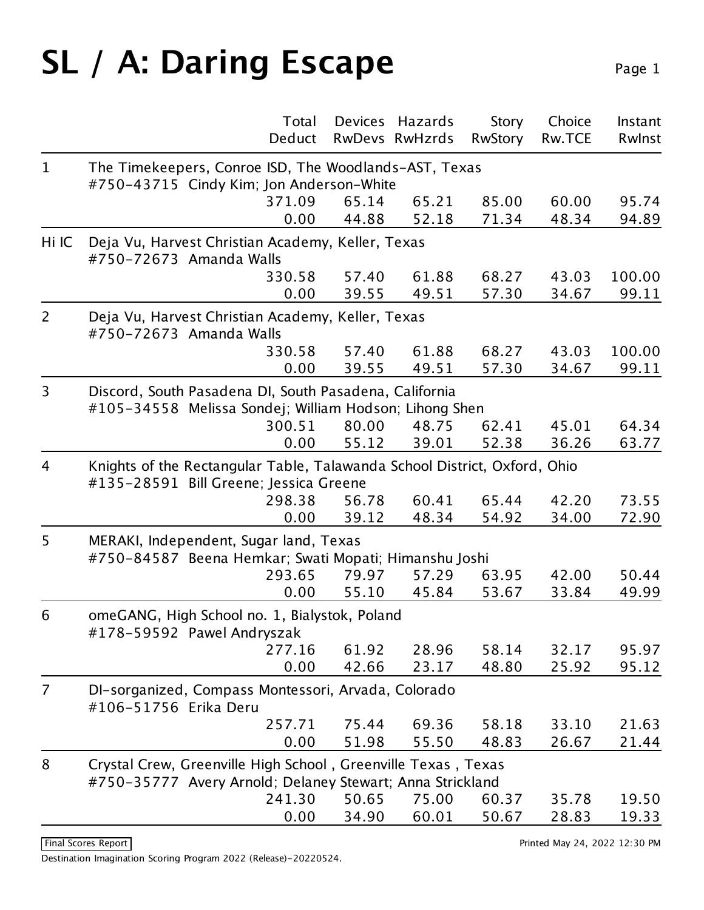# **SL / A: Daring Escape** Page 1

|                |                                                                                                                            | Total | <b>Devices</b> | Hazards        | Story          | Choice        | Instant |  |
|----------------|----------------------------------------------------------------------------------------------------------------------------|-------|----------------|----------------|----------------|---------------|---------|--|
|                | Deduct                                                                                                                     |       |                | RwDevs RwHzrds | <b>RwStory</b> | <b>Rw.TCE</b> | Rwinst  |  |
| $\mathbf{1}$   | The Timekeepers, Conroe ISD, The Woodlands-AST, Texas                                                                      |       |                |                |                |               |         |  |
|                | #750-43715 Cindy Kim; Jon Anderson-White                                                                                   |       |                |                |                |               |         |  |
|                | 371.09                                                                                                                     |       | 65.14          | 65.21          | 85.00          | 60.00         | 95.74   |  |
|                |                                                                                                                            | 0.00  | 44.88          | 52.18          | 71.34          | 48.34         | 94.89   |  |
| Hi IC          | Deja Vu, Harvest Christian Academy, Keller, Texas<br>#750-72673 Amanda Walls                                               |       |                |                |                |               |         |  |
|                | 330.58                                                                                                                     |       | 57.40          | 61.88          | 68.27          | 43.03         | 100.00  |  |
|                |                                                                                                                            | 0.00  | 39.55          | 49.51          | 57.30          | 34.67         | 99.11   |  |
| $\overline{2}$ | Deja Vu, Harvest Christian Academy, Keller, Texas<br>#750-72673 Amanda Walls                                               |       |                |                |                |               |         |  |
|                | 330.58                                                                                                                     |       | 57.40          | 61.88          | 68.27          | 43.03         | 100.00  |  |
|                |                                                                                                                            | 0.00  | 39.55          | 49.51          | 57.30          | 34.67         | 99.11   |  |
| 3              | Discord, South Pasadena DI, South Pasadena, California<br>#105-34558 Melissa Sondej; William Hodson; Lihong Shen           |       |                |                |                |               |         |  |
|                | 300.51                                                                                                                     |       | 80.00          | 48.75          | 62.41          | 45.01         | 64.34   |  |
|                |                                                                                                                            | 0.00  | 55.12          | 39.01          | 52.38          | 36.26         | 63.77   |  |
| $\overline{4}$ | Knights of the Rectangular Table, Talawanda School District, Oxford, Ohio<br>#135-28591 Bill Greene; Jessica Greene        |       |                |                |                |               |         |  |
|                | 298.38                                                                                                                     |       | 56.78          | 60.41          | 65.44          | 42.20         | 73.55   |  |
|                |                                                                                                                            | 0.00  | 39.12          | 48.34          | 54.92          | 34.00         | 72.90   |  |
| 5              | MERAKI, Independent, Sugar land, Texas<br>#750-84587 Beena Hemkar; Swati Mopati; Himanshu Joshi                            |       |                |                |                |               |         |  |
|                | 293.65                                                                                                                     |       | 79.97          | 57.29          | 63.95          | 42.00         | 50.44   |  |
|                |                                                                                                                            | 0.00  | 55.10          | 45.84          | 53.67          | 33.84         | 49.99   |  |
| 6              | omeGANG, High School no. 1, Bialystok, Poland<br>#178-59592 Pawel Andryszak                                                |       |                |                |                |               |         |  |
|                | 277.16                                                                                                                     |       | 61.92          | 28.96          | 58.14          | 32.17         | 95.97   |  |
|                |                                                                                                                            | 0.00  | 42.66          | 23.17          | 48.80          | 25.92         | 95.12   |  |
| $\overline{7}$ | DI-sorganized, Compass Montessori, Arvada, Colorado<br>#106-51756 Erika Deru                                               |       |                |                |                |               |         |  |
|                | 257.71                                                                                                                     |       | 75.44          | 69.36          | 58.18          | 33.10         | 21.63   |  |
|                |                                                                                                                            | 0.00  | 51.98          | 55.50          | 48.83          | 26.67         | 21.44   |  |
| 8              | Crystal Crew, Greenville High School, Greenville Texas, Texas<br>#750-35777 Avery Arnold; Delaney Stewart; Anna Strickland |       |                |                |                |               |         |  |
|                | 241.30                                                                                                                     |       | 50.65          | 75.00          | 60.37          | 35.78         | 19.50   |  |
|                |                                                                                                                            | 0.00  | 34.90          | 60.01          | 50.67          | 28.83         | 19.33   |  |